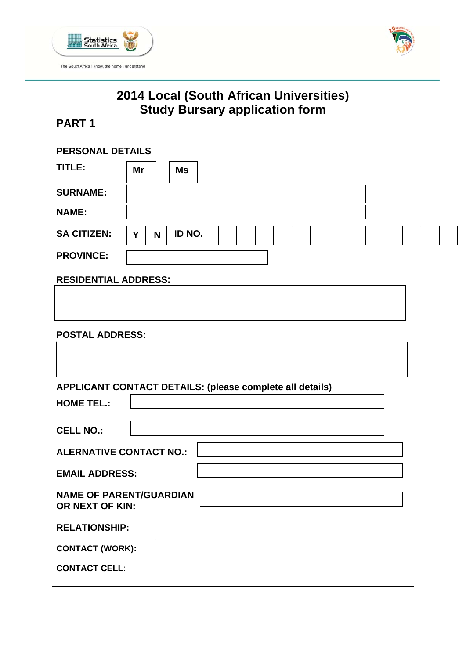



# **2014 Local (South African Universities) Study Bursary application form**

# **PART 1**

| <b>PERSONAL DETAILS</b>                                  |    |   |           |  |  |  |  |
|----------------------------------------------------------|----|---|-----------|--|--|--|--|
| TITLE:                                                   | Mr |   | <b>Ms</b> |  |  |  |  |
| <b>SURNAME:</b>                                          |    |   |           |  |  |  |  |
| <b>NAME:</b>                                             |    |   |           |  |  |  |  |
| <b>SA CITIZEN:</b>                                       | Y  | N | ID NO.    |  |  |  |  |
| <b>PROVINCE:</b>                                         |    |   |           |  |  |  |  |
| <b>RESIDENTIAL ADDRESS:</b>                              |    |   |           |  |  |  |  |
|                                                          |    |   |           |  |  |  |  |
| <b>POSTAL ADDRESS:</b>                                   |    |   |           |  |  |  |  |
|                                                          |    |   |           |  |  |  |  |
| APPLICANT CONTACT DETAILS: (please complete all details) |    |   |           |  |  |  |  |
| <b>HOME TEL.:</b>                                        |    |   |           |  |  |  |  |
| <b>CELL NO.:</b>                                         |    |   |           |  |  |  |  |
| <b>ALERNATIVE CONTACT NO.:</b>                           |    |   |           |  |  |  |  |
| <b>EMAIL ADDRESS:</b>                                    |    |   |           |  |  |  |  |
| <b>NAME OF PARENT/GUARDIAN</b><br>OR NEXT OF KIN:        |    |   |           |  |  |  |  |
| <b>RELATIONSHIP:</b>                                     |    |   |           |  |  |  |  |
| <b>CONTACT (WORK):</b>                                   |    |   |           |  |  |  |  |
| <b>CONTACT CELL:</b>                                     |    |   |           |  |  |  |  |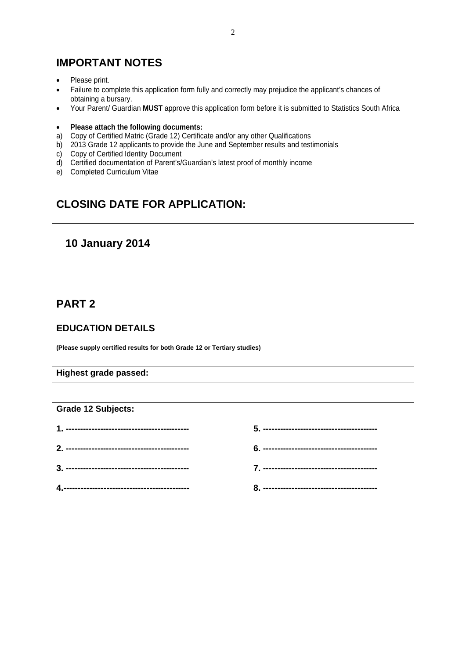## **IMPORTANT NOTES**

- Please print.
- Failure to complete this application form fully and correctly may prejudice the applicant's chances of obtaining a bursary.
- Your Parent/ Guardian **MUST** approve this application form before it is submitted to Statistics South Africa
- **Please attach the following documents:**
- a) Copy of Certified Matric (Grade 12) Certificate and/or any other Qualifications
- b) 2013 Grade 12 applicants to provide the June and September results and testimonials
- c) Copy of Certified Identity Document
- d) Certified documentation of Parent's/Guardian's latest proof of monthly income
- e) Completed Curriculum Vitae

# **CLOSING DATE FOR APPLICATION:**

### **10 January 2014**

### **PART 2**

#### **EDUCATION DETAILS**

**(Please supply certified results for both Grade 12 or Tertiary studies)** 

**Highest grade passed:** 

| <b>Grade 12 Subjects:</b> |  |
|---------------------------|--|
|                           |  |
|                           |  |
|                           |  |
|                           |  |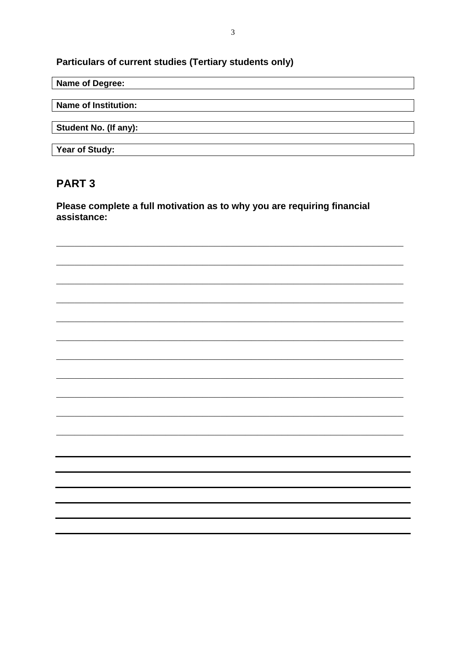## Particulars of current studies (Tertiary students only)

### Name of Degree:

Name of Institution:

Student No. (If any):

Year of Study:

### **PART 3**

Please complete a full motivation as to why you are requiring financial assistance: